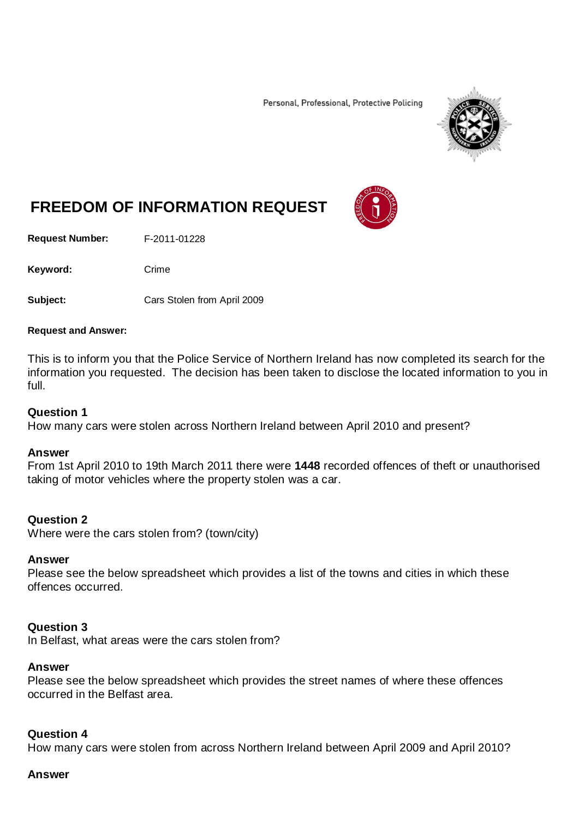Personal, Professional, Protective Policing



# **FREEDOM OF INFORMATION REQUEST**

**Request Number:** F-2011-01228

Keyword: Crime

**Subject:** Cars Stolen from April 2009

#### **Request and Answer:**

This is to inform you that the Police Service of Northern Ireland has now completed its search for the information you requested. The decision has been taken to disclose the located information to you in full.

#### **Question 1**

How many cars were stolen across Northern Ireland between April 2010 and present?

#### **Answer**

From 1st April 2010 to 19th March 2011 there were **1448** recorded offences of theft or unauthorised taking of motor vehicles where the property stolen was a car.

#### **Question 2**

Where were the cars stolen from? (town/city)

#### **Answer**

Please see the below spreadsheet which provides a list of the towns and cities in which these offences occurred.

#### **Question 3**

In Belfast, what areas were the cars stolen from?

#### **Answer**

Please see the below spreadsheet which provides the street names of where these offences occurred in the Belfast area.

#### **Question 4**

How many cars were stolen from across Northern Ireland between April 2009 and April 2010?

#### **Answer**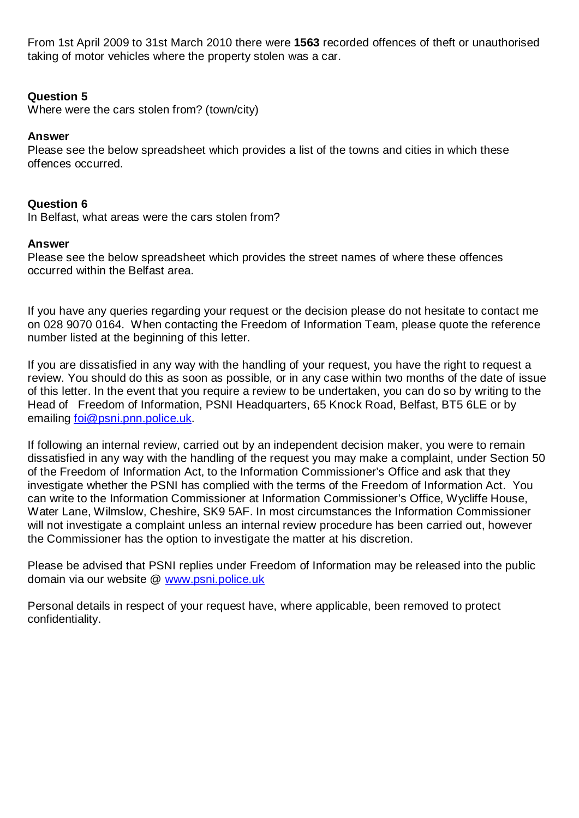From 1st April 2009 to 31st March 2010 there were **1563** recorded offences of theft or unauthorised taking of motor vehicles where the property stolen was a car.

# **Question 5**

Where were the cars stolen from? (town/city)

# **Answer**

Please see the below spreadsheet which provides a list of the towns and cities in which these offences occurred.

# **Question 6**

In Belfast, what areas were the cars stolen from?

## **Answer**

Please see the below spreadsheet which provides the street names of where these offences occurred within the Belfast area.

If you have any queries regarding your request or the decision please do not hesitate to contact me on 028 9070 0164. When contacting the Freedom of Information Team, please quote the reference number listed at the beginning of this letter.

If you are dissatisfied in any way with the handling of your request, you have the right to request a review. You should do this as soon as possible, or in any case within two months of the date of issue of this letter. In the event that you require a review to be undertaken, you can do so by writing to the Head of Freedom of Information, PSNI Headquarters, 65 Knock Road, Belfast, BT5 6LE or by emailing [foi@psni.pnn.police.uk.](mailto:foi@psni.pnn.police.uk)

If following an internal review, carried out by an independent decision maker, you were to remain dissatisfied in any way with the handling of the request you may make a complaint, under Section 50 of the Freedom of Information Act, to the Information Commissioner's Office and ask that they investigate whether the PSNI has complied with the terms of the Freedom of Information Act. You can write to the Information Commissioner at Information Commissioner's Office, Wycliffe House, Water Lane, Wilmslow, Cheshire, SK9 5AF. In most circumstances the Information Commissioner will not investigate a complaint unless an internal review procedure has been carried out, however the Commissioner has the option to investigate the matter at his discretion.

Please be advised that PSNI replies under Freedom of Information may be released into the public domain via our website @ [www.psni.police.uk](http://www.psni.police.uk/)

Personal details in respect of your request have, where applicable, been removed to protect confidentiality.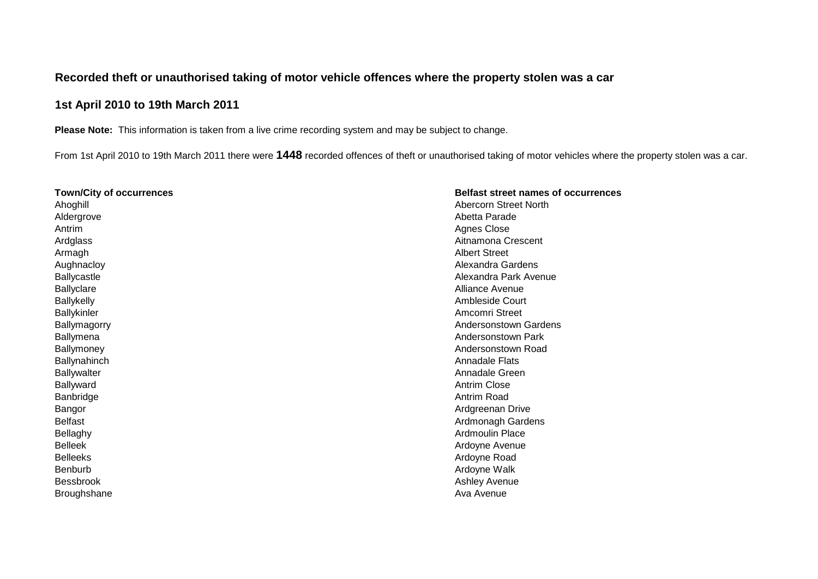## **Recorded theft or unauthorised taking of motor vehicle offences where the property stolen was a car**

# **1st April 2010 to 19th March 2011**

**Please Note:** This information is taken from a live crime recording system and may be subject to change.

From 1st April 2010 to 19th March 2011 there were **1448** recorded offences of theft or unauthorised taking of motor vehicles where the property stolen was a car.

| <b>Town/City of occurrences</b> | <b>Belfast street names of occurrences</b> |
|---------------------------------|--------------------------------------------|
| Ahoghill                        | Abercorn Street North                      |
| Aldergrove                      | Abetta Parade                              |
| Antrim                          | <b>Agnes Close</b>                         |
| Ardglass                        | Aitnamona Crescent                         |
| Armagh                          | <b>Albert Street</b>                       |
| Aughnacloy                      | Alexandra Gardens                          |
| Ballycastle                     | Alexandra Park Avenue                      |
| <b>Ballyclare</b>               | Alliance Avenue                            |
| <b>Ballykelly</b>               | Ambleside Court                            |
| Ballykinler                     | Amcomri Street                             |
| Ballymagorry                    | Andersonstown Gardens                      |
| <b>Ballymena</b>                | Andersonstown Park                         |
| Ballymoney                      | Andersonstown Road                         |
| Ballynahinch                    | <b>Annadale Flats</b>                      |
| <b>Ballywalter</b>              | Annadale Green                             |
| Ballyward                       | <b>Antrim Close</b>                        |
| Banbridge                       | Antrim Road                                |
| Bangor                          | Ardgreenan Drive                           |
| <b>Belfast</b>                  | Ardmonagh Gardens                          |
| Bellaghy                        | <b>Ardmoulin Place</b>                     |
| <b>Belleek</b>                  | Ardoyne Avenue                             |
| <b>Belleeks</b>                 | Ardoyne Road                               |
| Benburb                         | Ardoyne Walk                               |
| <b>Bessbrook</b>                | Ashley Avenue                              |
| <b>Broughshane</b>              | Ava Avenue                                 |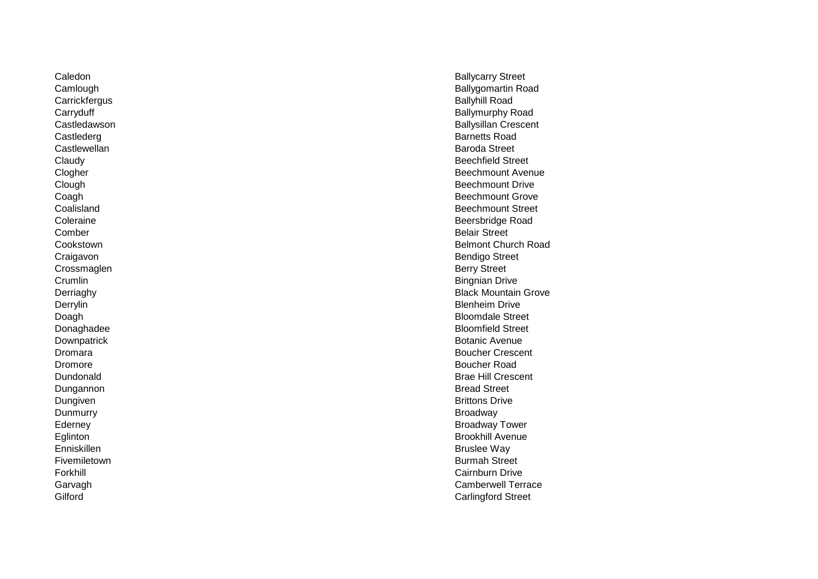Carrickfergus<br>Carryduff Castlederg Barnetts Road Castlewellan Baroda Street Comber Belair Street Crossmaglen **Crumlin** Bingnian Drive **Crumlin** Dromore Boucher Road Dungannon Bread Street Dungiven Brittons Drive Dunmurry Broadway (1999), Dunmurry Broadway (1999), Dunmurry (1999), Broadway (1999), Broadway (1999), Broadway Enniskillen Bruslee Way Fivemiletown **Burmah Street** 

Caledon **Ballycarry Street**<br>
Camlough **Ballycarry Street**<br>
Camlough **Ballycarry Street** Ballygomartin Road<br>Ballyhill Road Ballymurphy Road Castledawson **Ballysillan Crescent**<br>
Castlederg<br>
Castlederg<br>
Barnetts Road Claudy Beechfield Street<br>
Clogher Clogher<br>
Beechmount Aver Beechmount Avenue **Clough Beechmount Drive Coagh** Beechmount Grove **Beechmount Grove** Beechmount Grove **Beechmount Grove** Coalisland Beechmount Street<br>
Coleraine Beechmount Street<br>
Beersbridge Road Beersbridge Road Cookstown Belmont Church Road Craigavon Bendigo Street<br>
Crossmaglen Bendigo Street<br>
Crossmaglen Berry Street Derriaghy Black Mountain Grove Derrylin Blenheim Drive Doagh Bloomdale Street Donaghadee Bloomfield Street<br>
Downpatrick<br>
Downpatrick<br>
Botanic Avenue Botanic Avenue Dromara Boucher Crescent Dundonald Brae Hill Crescent Ederney **Broadway Tower** Broadway Tower **Broadway Tower** Eglinton Brookhill Avenue<br>
Enniskillen Brookhill Avenue<br>
Bruslee Way Forkhill Cairnburn Drive Garvagh Camberwell Terrace<br>
Garvagh Camberwell Terrace<br>
Carlingford Street Carlingford Street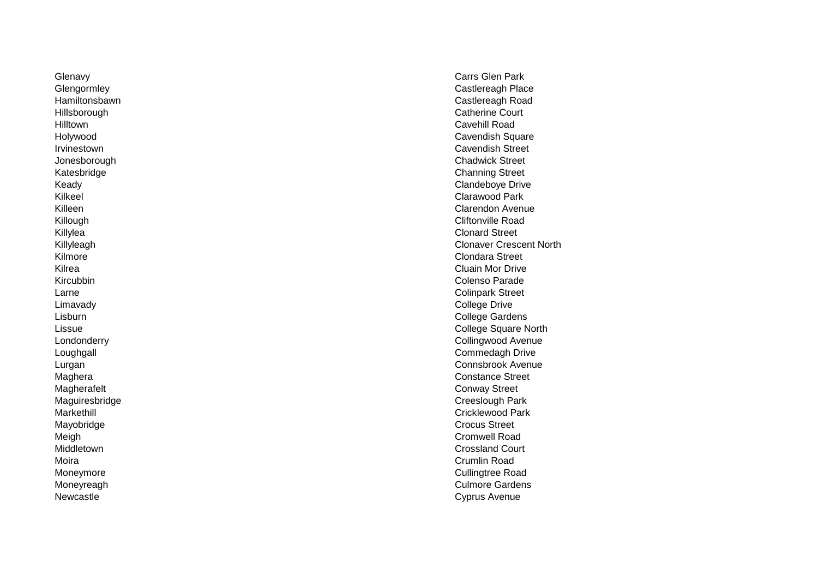Glenavy Carrs Glen Park<br>
Glenaormlev Carrs Glen Park<br>
Castlereagh Plac Hilltown Cavehill Road Jonesborough<br>Katesbridge Katesbridge Channing Street<br>
Keady Clandeboye Drive Kilkeel Clarawood Park<br>Killeen Clarawood Park<br>Clarendon Avenu Killylea Clonard Street<br>
Killyleagh Clonard Street<br>
Clonaver Cresc Kilmore Clondara Street Kilrea Cluain Mor Drive Kircubbin Colenso Parade Larne Colinpark Street Limavady College Drive Magherafelt Conway Street Maguiresbridge **Creeslough Park** Mayobridge Crocus Street Meigh Cromwell Road Middletown Crossland Court Moira Crumlin Road Moneymore Cullingtree Road

Castlereagh Place Hamiltonsbawn Castlereagh Road Catherine Court<br>Cavehill Road Holywood **Cavendish Square** Irvinestown Cavendish Street Clandeboye Drive Killeen Clarendon Avenue<br>Killough Clarendon Avenue<br>Cliftonville Road Cliftonville Road **Clonaver Crescent North** College Gardens Lissue College Square North Collingwood Avenue Loughgall **Commedagh Drive** Lurgan Connsbrook Avenue Maghera Constance Street Markethill<br>
Markethill<br>
Mayobridge Moneyreagh Culmore Gardens Newcastle Cyprus Avenue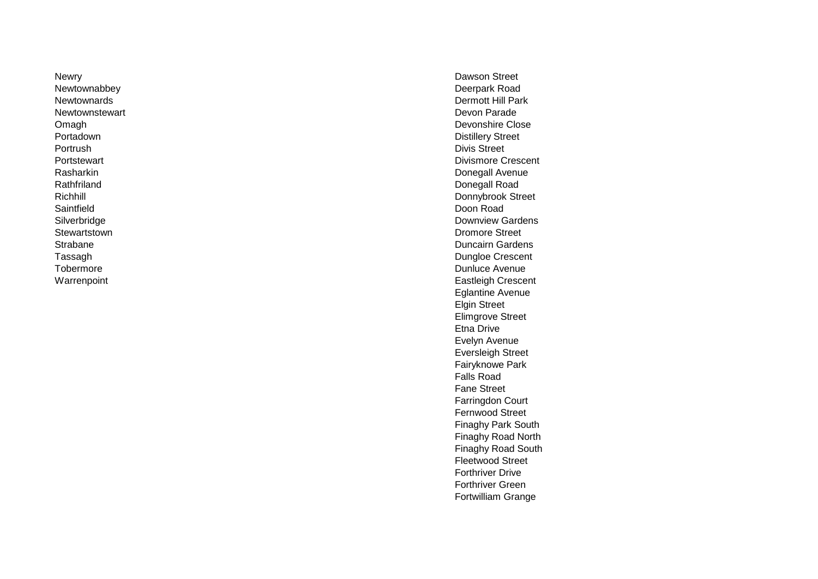Newry Dawson Street Newtownabbey Deerpark Road Newtownstewart Portrush Divis Street Rathfriland Donegall Road Saintfield Doon Road Stewartstown **Dromore Street** 

Newtownards<br>
Newtownards<br>
Newtownstewart<br>
Devon Parade Omagh Devonshire Close<br>
Portadown Devonshire Close<br>
Distillery Street **Distillery Street** Portstewart **Division Crescent Division Crescent Division Crescent Division Crescent** Rasharkin Donegall Avenue Richhill **Donnybrook Street**<br>
Saintfield<br>
Doon Road Silverbridge **Downview Gardens** Communication Communication Communication Communication Communication Communication Communication Communication Communication Communication Communication Communication Communication Communic Strabane Duncairn Gardens Tassagh **Dungloe Crescent**<br>
Tobermore **Dungloe Crescent**<br>
Dungloe Crescent<br>
Dungloe Crescent Dunluce Avenue Warrenpoint **Eastleigh Crescent** Eglantine Avenue Elgin Street Elimgrove Street Etna Drive Evelyn Avenue Eversleigh Street Fairyknowe Park Falls Road Fane Street Farringdon Court Fernwood Street Finaghy Park South Finaghy Road North Finaghy Road South Fleetwood Street Forthriver Drive Forthriver Green Fortwilliam Grange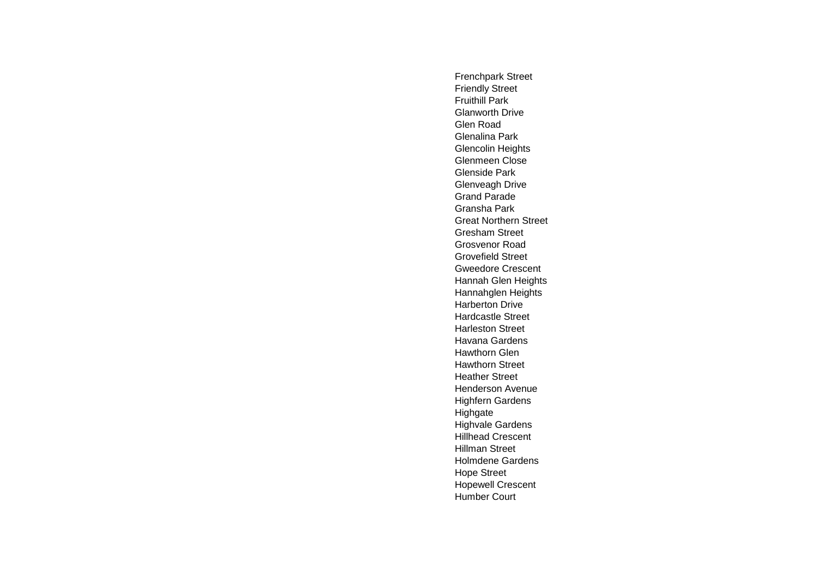Frenchpark Street Friendly Street Fruithill Park Glanworth Drive Glen Road Glenalina Park Glencolin Heights Glenmeen Close Glenside Park Glenveagh Drive Grand Parade Gransha Park Great Northern Street Gresham Street Grosvenor Road Grovefield Street Gweedore Crescent Hannah Glen Heights Hannahglen Heights Harberton Drive Hardcastle Street Harleston Street Havana Gardens Hawthorn Glen Hawthorn Street Heather Street Henderson Avenue Highfern Gardens Highgate Highvale Gardens Hillhead Crescent Hillman Street Holmdene Gardens Hope Street Hopewell Crescent Humber Court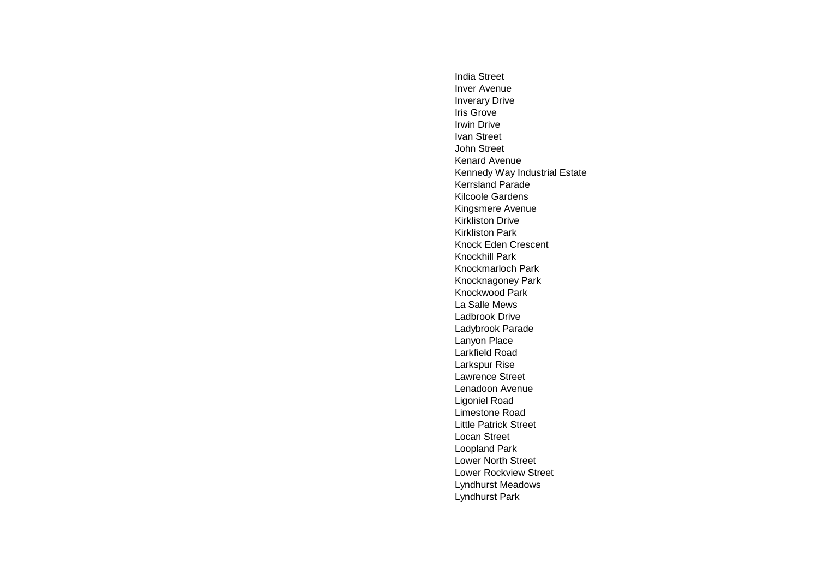India Street Inver Avenue Inverary Drive Iris Grove Irwin Drive Ivan Street John Street Kenard Avenue Kennedy Way Industrial Estate Kerrsland Parade Kilcoole Gardens Kingsmere Avenue Kirkliston Drive Kirkliston Park Knock Eden Crescent Knockhill Park Knockmarloch Park Knocknagoney Park Knockwood Park La Salle Mews Ladbrook Drive Ladybrook Parade Lanyon Place Larkfield Road Larkspur Rise Lawrence Street Lenadoon Avenue Ligoniel Road Limestone Road Little Patrick Street Locan Street Loopland Park Lower North Street Lower Rockview Street Lyndhurst Meadows Lyndhurst Park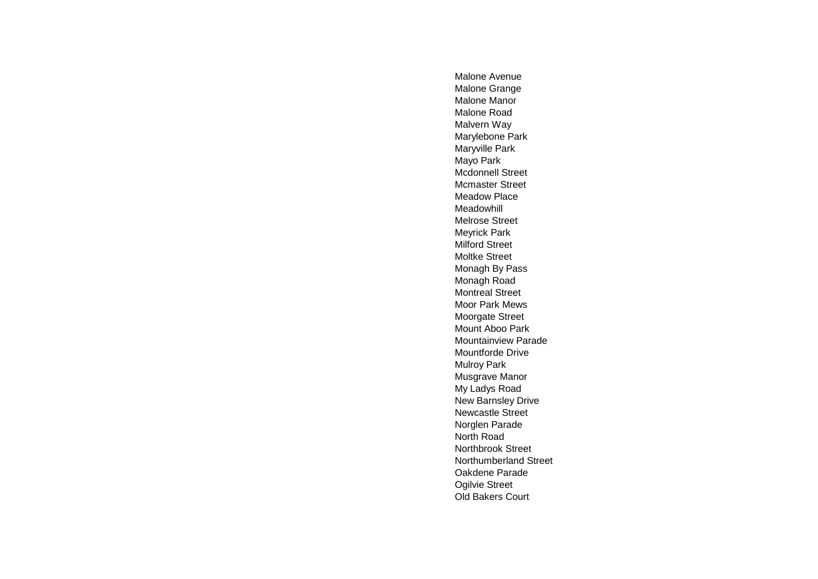Malone Avenue Malone Grange Malone Manor Malone Road Malvern Way Marylebone Park Maryville Park Mayo Park Mcdonnell Street Mcmaster Street Meadow Place Meadowhill Melrose Street Meyrick Park Milford Street Moltke Street Monagh By Pass Monagh Road Montreal Street Moor Park Mews Moorgate Street Mount Aboo Park Mountainview Parade Mountforde Drive Mulroy Park Musgrave Manor My Ladys Road New Barnsley Drive Newcastle Street Norglen Parade North Road Northbrook Street Northumberland Street Oakdene Parade Ogilvie Street Old Bakers Court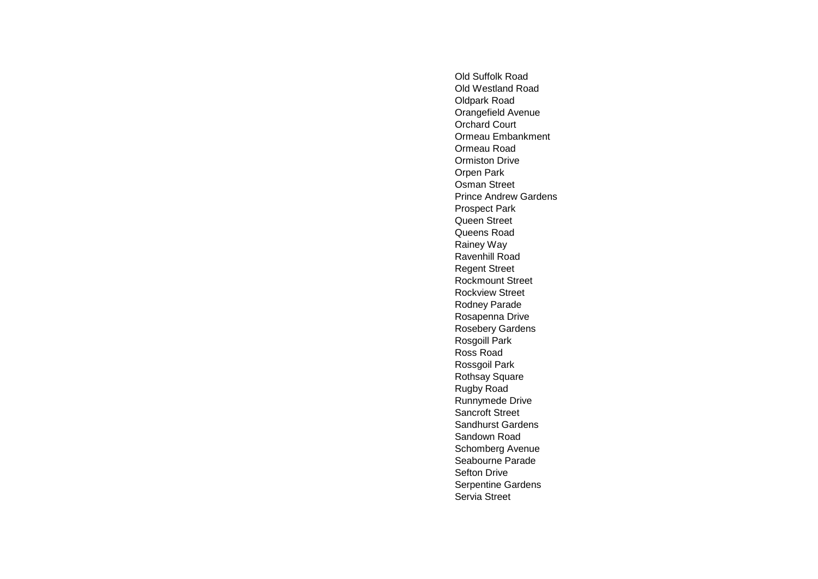Old Suffolk Road Old Westland Road Oldpark Road Orangefield Avenue Orchard Court Ormeau Embankment Ormeau Road Ormiston Drive Orpen Park Osman Street Prince Andrew Gardens Prospect Park Queen Street Queens Road Rainey Way Ravenhill Road Regent Street Rockmount Street Rockview Street Rodney Parade Rosapenna Drive Rosebery Gardens Rosgoill Park Ross Road Rossgoil Park Rothsay Square Rugby Road Runnymede Drive Sancroft Street Sandhurst Gardens Sandown Road Schomberg Avenue Seabourne Parade Sefton Drive Serpentine Gardens Servia Street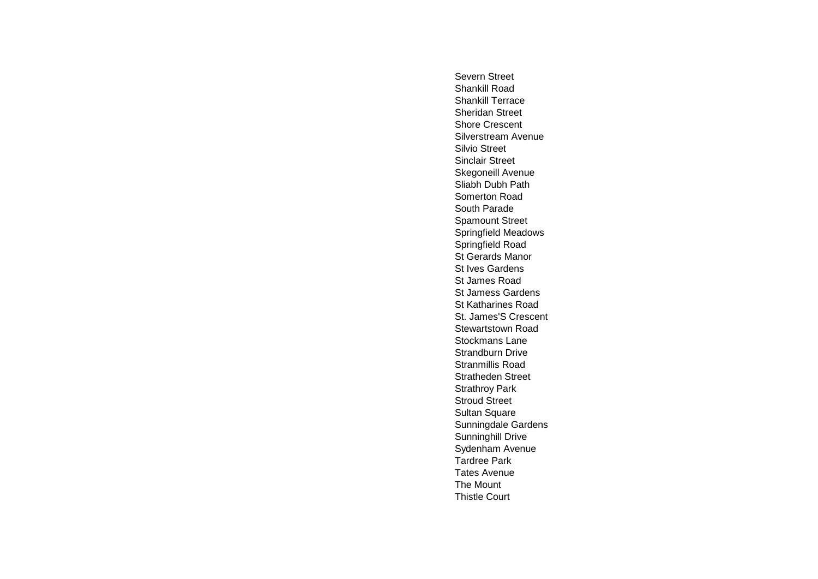Severn Street Shankill Road Shankill Terrace Sheridan Street Shore Crescent Silverstream Avenue Silvio Street Sinclair Street Skegoneill Avenue Sliabh Dubh Path Somerton Road South Parade Spamount Street Springfield Meadows Springfield Road St Gerards Manor St Ives Gardens St James Road St Jamess Gardens St Katharines Road St. James'S Crescent Stewartstown Road Stockmans Lane Strandburn Drive Stranmillis Road Stratheden Street Strathroy Park Stroud Street Sultan Square Sunningdale Gardens Sunninghill Drive Sydenham Avenue Tardree Park Tates Avenue The Mount Thistle Court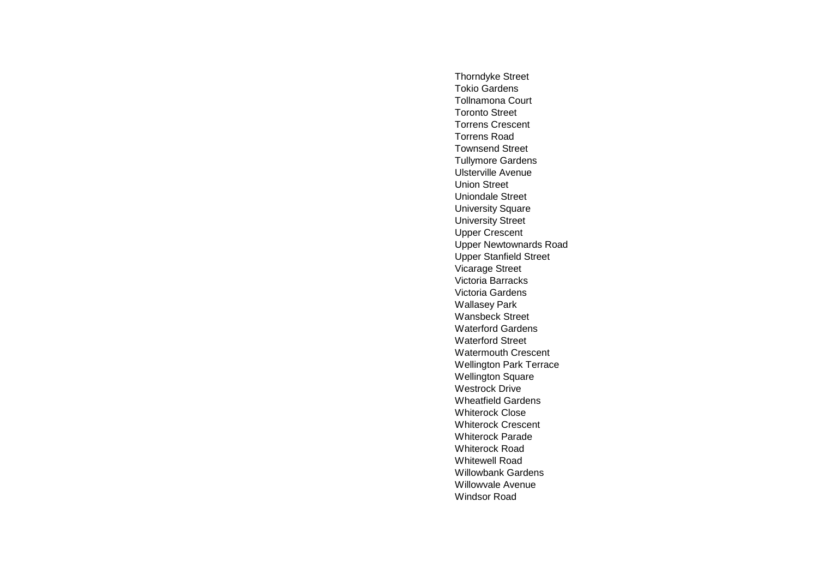Thorndyke Street Tokio Gardens Tollnamona Court Toronto Street Torrens Crescent Torrens Road Townsend Street Tullymore Gardens Ulsterville Avenue Union Street Uniondale Street University Square University Street Upper Crescent Upper Newtownards Road Upper Stanfield Street Vicarage Street Victoria Barracks Victoria Gardens Wallasey Park Wansbeck Street Waterford Gardens Waterford Street Watermouth Crescent Wellington Park Terrace Wellington Square Westrock Drive Wheatfield Gardens Whiterock Close Whiterock Crescent Whiterock Parade Whiterock Road Whitewell Road Willowbank Gardens Willowvale Avenue Windsor Road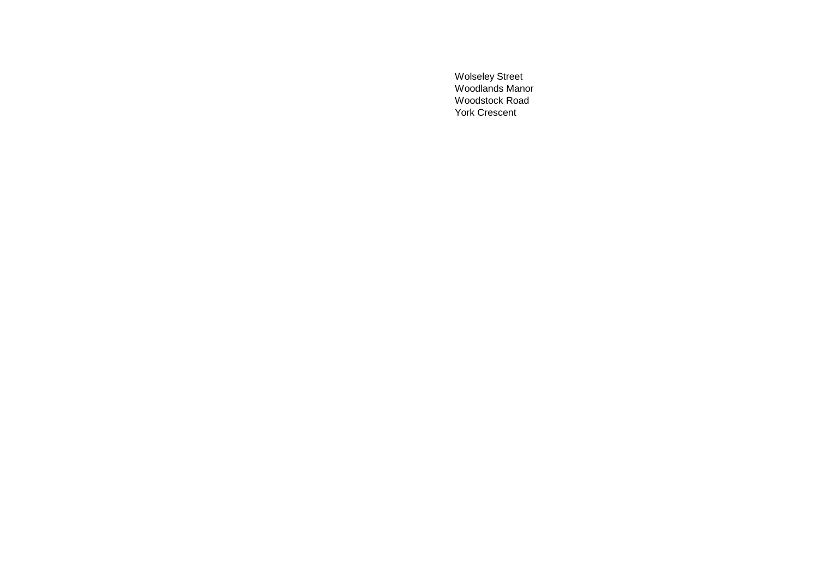Wolseley Street Woodlands Manor Woodstock Road York Crescent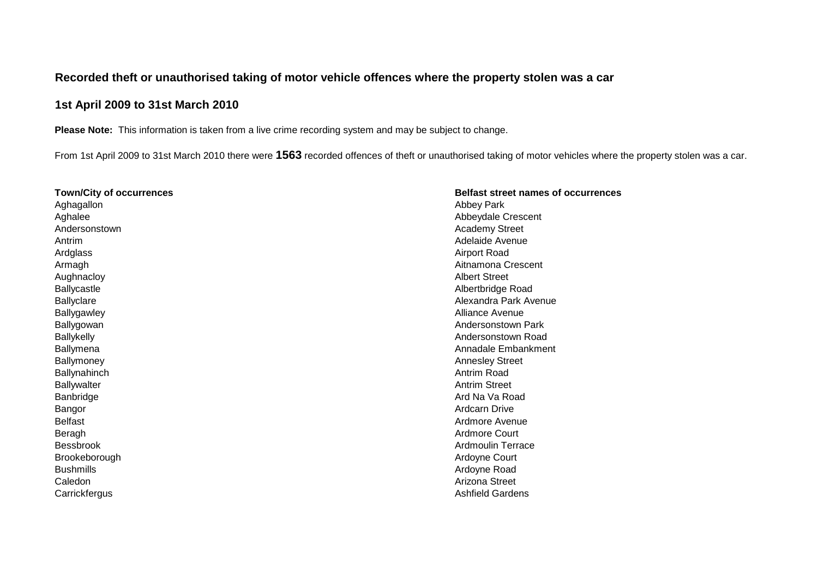## **Recorded theft or unauthorised taking of motor vehicle offences where the property stolen was a car**

## **1st April 2009 to 31st March 2010**

**Please Note:** This information is taken from a live crime recording system and may be subject to change.

From 1st April 2009 to 31st March 2010 there were **1563** recorded offences of theft or unauthorised taking of motor vehicles where the property stolen was a car.

| <b>Town/City of occurrences</b> | <b>Belfast street names of occurrences</b> |
|---------------------------------|--------------------------------------------|
| Aghagallon                      | <b>Abbey Park</b>                          |
| Aghalee                         | Abbeydale Crescent                         |
| Andersonstown                   | <b>Academy Street</b>                      |
| Antrim                          | Adelaide Avenue                            |
| Ardglass                        | <b>Airport Road</b>                        |
| Armagh                          | Aitnamona Crescent                         |
| Aughnacloy                      | <b>Albert Street</b>                       |
| Ballycastle                     | Albertbridge Road                          |
| <b>Ballyclare</b>               | Alexandra Park Avenue                      |
| Ballygawley                     | Alliance Avenue                            |
| Ballygowan                      | Andersonstown Park                         |
| <b>Ballykelly</b>               | Andersonstown Road                         |
| <b>Ballymena</b>                | Annadale Embankment                        |
| Ballymoney                      | <b>Annesley Street</b>                     |
| Ballynahinch                    | Antrim Road                                |
| Ballywalter                     | <b>Antrim Street</b>                       |
| Banbridge                       | Ard Na Va Road                             |
| Bangor                          | <b>Ardcarn Drive</b>                       |
| <b>Belfast</b>                  | Ardmore Avenue                             |
| Beragh                          | <b>Ardmore Court</b>                       |
| <b>Bessbrook</b>                | <b>Ardmoulin Terrace</b>                   |
| Brookeborough                   | Ardoyne Court                              |
| <b>Bushmills</b>                | Ardoyne Road                               |
| Caledon                         | Arizona Street                             |
| Carrickfergus                   | <b>Ashfield Gardens</b>                    |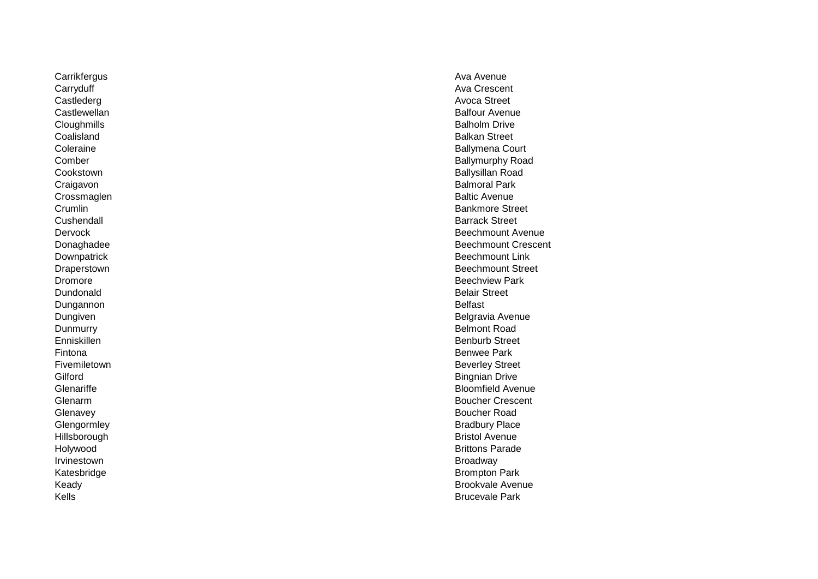Carrikfergus Ava Avenue<br>Carryduff Ava Avenue<br>Carryduff Ava Crescer Carryduff Ava Crescent Castlederg Avoca Street Castlewellan Balfour Avenue<br>
Cloughmills Balfour Avenue<br>
Balholm Drive Cloughmills Balholm Drive Coalisland Balkan Street Craigavon Balmoral Park Crossmaglen **Baltic Avenue**<br>
Crossmaglen **Baltic Avenue**<br>
Bankmore Stre Cushendall Barrack Street Dundonald Belair Street Dungannon Belfast Dunmurry **Belmont Road** Enniskillen Benburb Street Fintona Benwee Park Fivemiletown **Beverley** Street Gilford **Bingnian Drive** Bingnian Drive **Bingnian Drive Bingnian Drive** Glenavey Boucher Road<br>
Glengormley School Boucher Road<br>
Bradbury Place Hillsborough **Bristol Avenue**<br>Holywood Bristol Avenue Irvinestown Broadway (1999) and the settlement of the settlement of the settlement of the settlement of the set Katesbridge **Brompton Park** 

Coleraine **Ballymena Court Comber Ballymurphy Road** Ecookstown Eallysillan Road<br>
Cookstown Eallysillan Road<br>
Craigavon Balmoral Park Crumlin Bankmore Street<br>
Cushendall Bankmore Street<br>
Bankmore Street<br>
Bankmore Street Dervock Beechmount Avenue<br>
Donaghadee Beechmount Crescer<br>
Beechmount Crescer Beechmount Crescent Downpatrick Beechmount Link<br>
Draperstown Beechmount Street (1999)<br>
Beechmount Street (1999) Beechmount Street Dromore Beechview Park Dungiven Belgravia Avenue et al. 2009 et al. 2009 et al. 2009 et al. 2009 et al. 2009 et al. 2009 et al. 2009 et al. 2009 et al. 2009 et al. 2009 et al. 2009 et al. 2009 et al. 2009 et al. 2009 et al. 2009 et al. 2009 et a Glenariffe **Bloomfield Avenue** Glenarm **Boucher Crescent** Crescent **Boucher Crescent** Bradbury Place Brittons Parade Keady Brookvale Avenue **Kells** Brucevale Park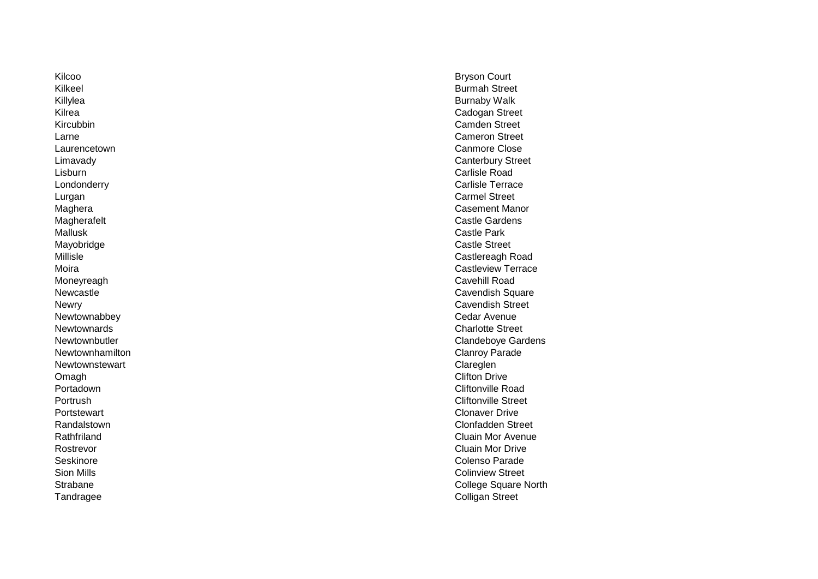Kilcoo Bryson Court Kilkeel **Burmah Street** Killylea Burnaby Walk Kilrea Cadogan Street Kircubbin **Camden Street**<br>
Larne Cameron Street<br>
Larne Cameron Street Larne Cameron Street Laurencetown **Canmore Close** Lisburn Carlisle Road Lurgan Carmel Street Mallusk Castle Park Mayobridge Castle Street Moneyreagh Cavehill Road Newtownabbey **Cedar Avenue**<br>
Newtownards **Cedar Avenue**<br>
Charlotte Stree Newtownhamilton **Newtownhamilton** Clanroy Parade Newtownstewart **Claregien** Claregien Omagh Clifton Drive Portadown **Cliftonville Road** Portrush Cliftonville Street Portstewart Clonaver Drive Rostrevor Cluain Mor Drive Seskinore **Colenso Parade** Sion Mills **Sion Mills** Colinview Street

Limavady Canterbury Street Carlisle Terrace Maghera Casement Manor<br>
Magherafelt Casement Manor<br>
Castle Gardens Castle Gardens<br>Castle Park Millisle Castlereagh Road Moira **Castleview Terrace** Newcastle **Cavendish Square** Cavendish Square Cavendish Square Cavendish Square Newry Cavendish Street Charlotte Street Newtownbutler **Clandeboye Gardens** Randalstown Clonfadden Street Rathfriland Cluain Mor Avenue Strabane College Square North Tandragee Colligan Street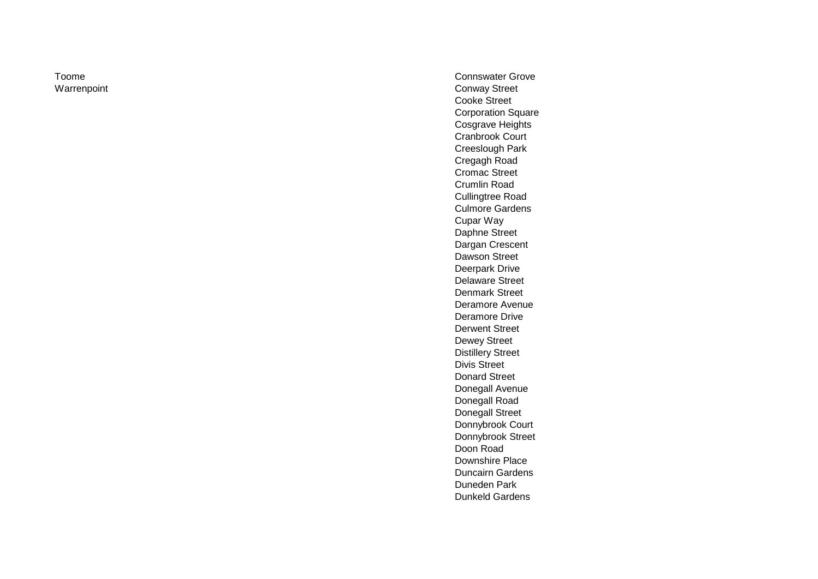Toome Connswater Grove<br>
Connswater Grove<br>
Conway Street Conway Street Cooke Street Corporation Square Cosgrave Heights Cranbrook Court Creeslough Park Cregagh Road Cromac Street Crumlin Road Cullingtree Road Culmore Gardens Cupar Way Daphne Street Dargan Crescent Dawson Street Deerpark Drive Delaware Street Denmark Street Deramore Avenue Deramore Drive Derwent Street Dewey Street Distillery Street Divis Street Donard Street Donegall Avenue Donegall Road Donegall Street Donnybrook Court Donnybrook Street Doon Road Downshire Place Duncairn Gardens Duneden Park Dunkeld Gardens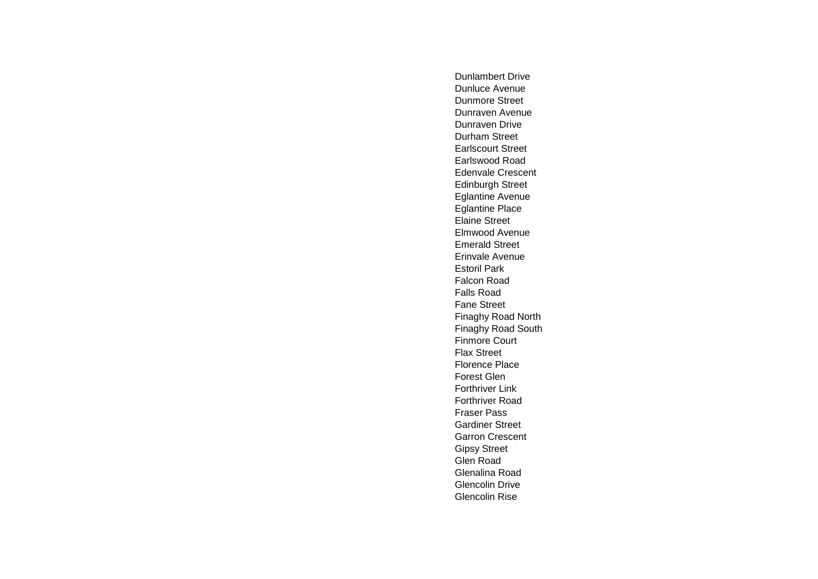Dunlambert Drive Dunluce Avenue Dunmore Street Dunraven Avenue Dunraven Drive Durham Street Earlscourt Street Earlswood Road Edenvale Crescent Edinburgh Street Eglantine Avenue Eglantine Place Elaine Street Elmwood Avenue Emerald Street Erinvale Avenue Estoril Park Falcon Road Falls Road Fane Street Finaghy Road North Finaghy Road South Finmore Court Flax Street Florence Place Forest Glen Forthriver Link Forthriver Road Fraser Pass Gardiner Street Garron Crescent Gipsy Street Glen Road Glenalina Road Glencolin Drive Glencolin Rise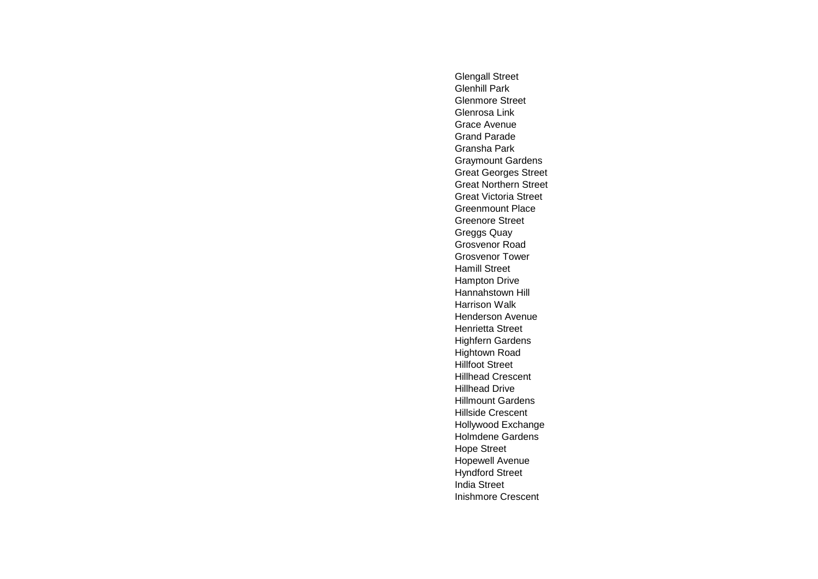Glengall Street Glenhill Park Glenmore Street Glenrosa Link Grace Avenue Grand Parade Gransha Park Graymount Gardens Great Georges Street Great Northern Street Great Victoria Street Greenmount Place Greenore Street Greggs Quay Grosvenor Road Grosvenor Tower Hamill Street Hampton Drive Hannahstown Hill Harrison Walk Henderson Avenue Henrietta Street Highfern Gardens Hightown Road Hillfoot Street Hillhead Crescent Hillhead Drive Hillmount Gardens Hillside Crescent Hollywood Exchange Holmdene Gardens Hope Street Hopewell Avenue Hyndford Street India Street Inishmore Crescent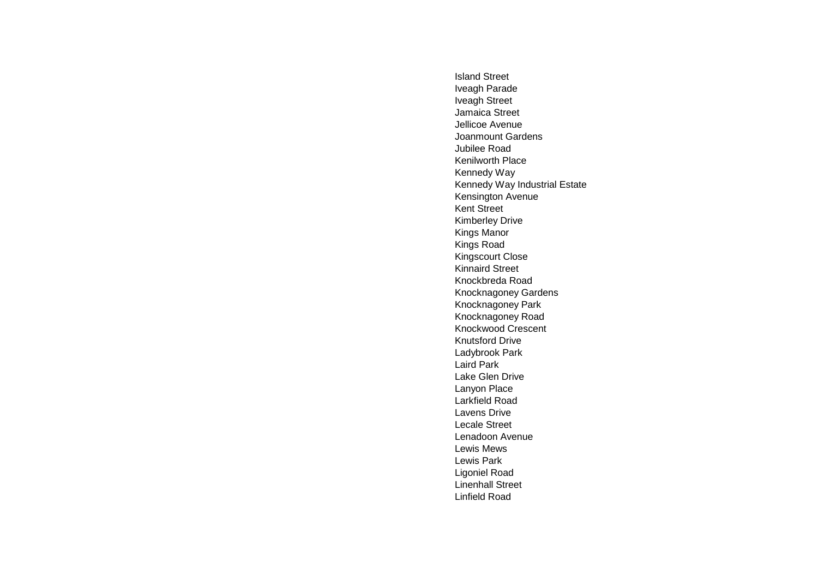Island Street Iveagh Parade Iveagh Street Jamaica Street Jellicoe Avenue Joanmount Gardens Jubilee Road Kenilworth Place Kennedy Way Kennedy Way Industrial Estate Kensington Avenue Kent Street Kimberley Drive Kings Manor Kings Road Kingscourt Close Kinnaird Street Knockbreda Road Knocknagoney Gardens Knocknagoney Park Knocknagoney Road Knockwood Crescent Knutsford Drive Ladybrook Park Laird Park Lake Glen Drive Lanyon Place Larkfield Road Lavens Drive Lecale Street Lenadoon Avenue Lewis Mews Lewis Park Ligoniel Road Linenhall Street Linfield Road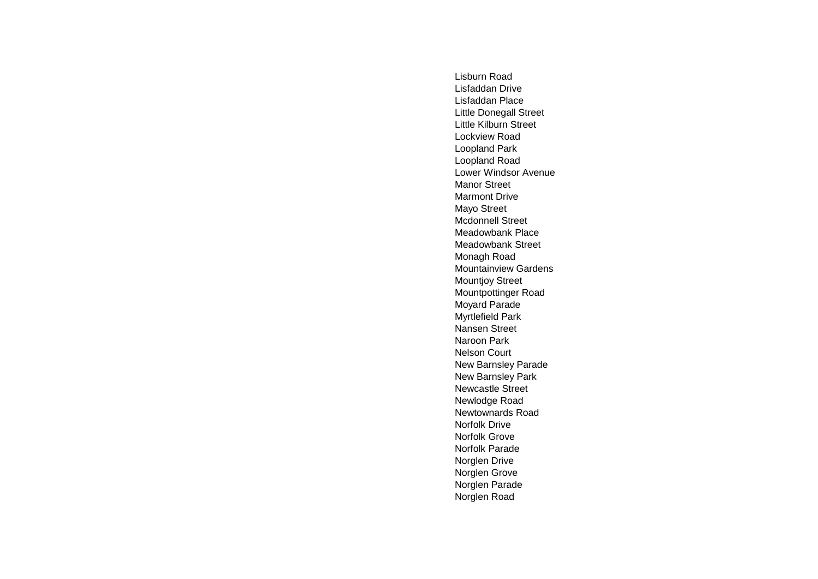Lisburn Road Lisfaddan Drive Lisfaddan Place Little Donegall Street Little Kilburn Street Lockview Road Loopland Park Loopland Road Lower Windsor Avenue Manor Street Marmont Drive Mayo Street Mcdonnell Street Meadowbank Place Meadowbank Street Monagh Road Mountainview Gardens Mountjoy Street Mountpottinger Road Moyard Parade Myrtlefield Park Nansen Street Naroon Park Nelson Court New Barnsley Parade New Barnsley Park Newcastle Street Newlodge Road Newtownards Road Norfolk Drive Norfolk Grove Norfolk Parade Norglen Drive Norglen Grove Norglen Parade Norglen Road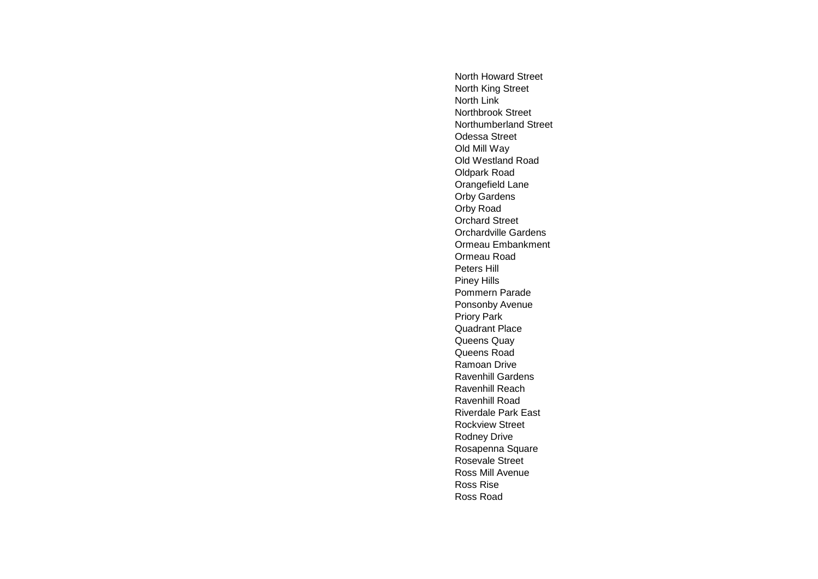North Howard Street North King Street North Link Northbrook Street Northumberland Street Odessa Street Old Mill Way Old Westland Road Oldpark Road Orangefield Lane Orby Gardens Orby Road Orchard Street Orchardville Gardens Ormeau Embankment Ormeau Road Peters Hill Piney Hills Pommern Parade Ponsonby Avenue Priory Park Quadrant Place Queens Quay Queens Road Ramoan Drive Ravenhill Gardens Ravenhill Reach Ravenhill Road Riverdale Park East Rockview Street Rodney Drive Rosapenna Square Rosevale Street Ross Mill Avenue Ross Rise Ross Road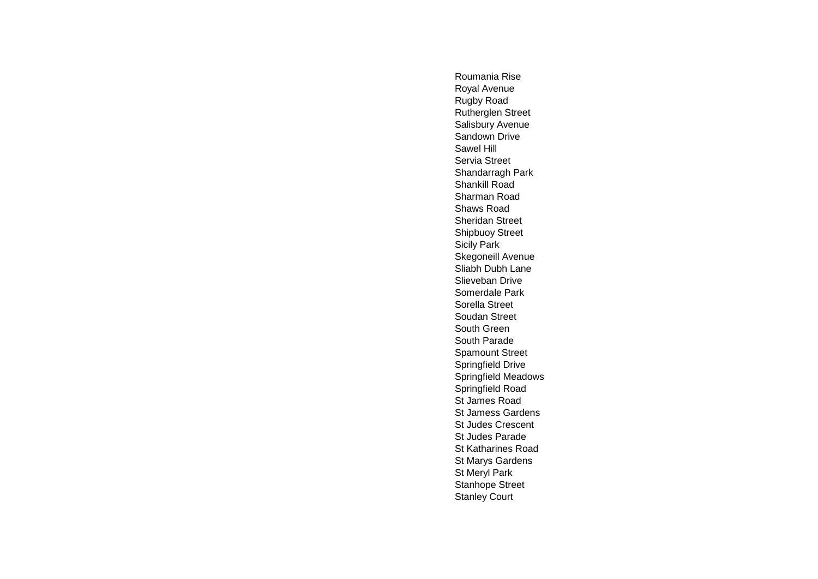Roumania Rise Royal Avenue Rugby Road Rutherglen Street Salisbury Avenue Sandown Drive Sawel Hill Servia Street Shandarragh Park Shankill Road Sharman Road Shaws Road Sheridan Street Shipbuoy Street Sicily Park Skegoneill Avenue Sliabh Dubh Lane Slieveban Drive Somerdale Park Sorella Street Soudan Street South Green South Parade Spamount Street Springfield Drive Springfield Meadows Springfield Road St James Road St Jamess Gardens St Judes Crescent St Judes Parade St Katharines Road St Marys Gardens St Meryl Park Stanhope Street Stanley Court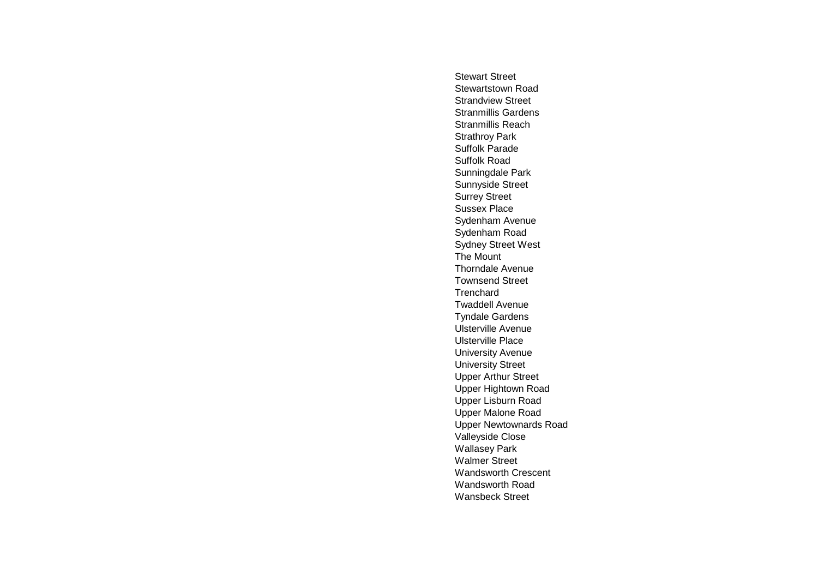Stewart Street Stewartstown Road Strandview Street Stranmillis Gardens Stranmillis Reach Strathroy Park Suffolk Parade Suffolk Road Sunningdale Park Sunnyside Street Surrey Street Sussex Place Sydenham Avenue Sydenham Road Sydney Street West The Mount Thorndale Avenue Townsend Street **Trenchard** Twaddell Avenue Tyndale Gardens Ulsterville Avenue Ulsterville Place University Avenue University Street Upper Arthur Street Upper Hightown Road Upper Lisburn Road Upper Malone Road Upper Newtownards Road Valleyside Close Wallasey Park Walmer Street Wandsworth Crescent Wandsworth Road Wansbeck Street